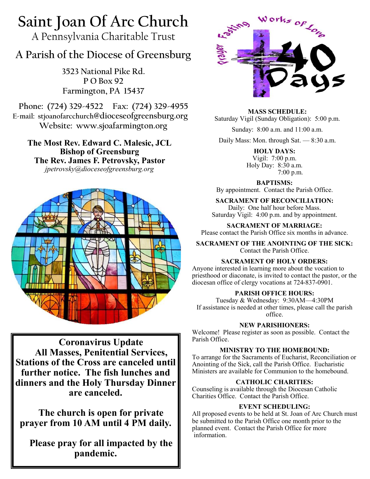# **Saint Joan Of Arc Church**

A Pennsylvania Charitable Trust

# **A Parish of the Diocese of Greensburg**

**3523 National Pike Rd. P O Box 92 Farmington, PA 15437**

**Phone: (724) 329-4522 Fax: (724) 329-4955 E-mail: stjoanofarcchurch@dioceseofgreensburg.org Website: www.sjoafarmington.org**

**The Most Rev. Edward C. Malesic, JCL Bishop of Greensburg The Rev. James F. Petrovsky, Pastor** *jpetrovsky@dioceseofgreensburg.org*



**Coronavirus Update All Masses, Penitential Services, Stations of the Cross are canceled until further notice. The fish lunches and dinners and the Holy Thursday Dinner are canceled.**

**The church is open for private prayer from 10 AM until 4 PM daily.**

**Please pray for all impacted by the pandemic.**



**MASS SCHEDULE:**

Saturday Vigil (Sunday Obligation): 5:00 p.m.

Sunday: 8:00 a.m. and 11:00 a.m.

Daily Mass: Mon. through Sat. — 8:30 a.m.

**HOLY DAYS:** Vigil: 7:00 p.m. Holy Day: 8:30 a.m. 7:00 p.m.

**BAPTISMS:** 

By appointment. Contact the Parish Office.

**SACRAMENT OF RECONCILIATION:** Daily: One half hour before Mass. Saturday Vigil: 4:00 p.m. and by appointment.

**SACRAMENT OF MARRIAGE:** Please contact the Parish Office six months in advance.

**SACRAMENT OF THE ANOINTING OF THE SICK:** Contact the Parish Office.

# **SACRAMENT OF HOLY ORDERS:**

Anyone interested in learning more about the vocation to priesthood or diaconate, is invited to contact the pastor, or the diocesan office of clergy vocations at 724-837-0901.

# **PARISH OFFICE HOURS:**

Tuesday & Wednesday: 9:30AM—4:30PM If assistance is needed at other times, please call the parish office.

# **NEW PARISHIONERS:**

Welcome! Please register as soon as possible. Contact the Parish Office.

#### **MINISTRY TO THE HOMEBOUND:**

To arrange for the Sacraments of Eucharist, Reconciliation or Anointing of the Sick, call the Parish Office. Eucharistic Ministers are available for Communion to the homebound.

# **CATHOLIC CHARITIES:**

Counseling is available through the Diocesan Catholic Charities Office. Contact the Parish Office.

# **EVENT SCHEDULING:**

All proposed events to be held at St. Joan of Arc Church must be submitted to the Parish Office one month prior to the planned event. Contact the Parish Office for more information.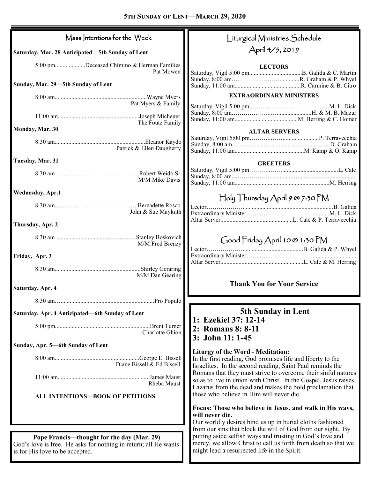| Mass Intentions for the Week                                                                                                                     | Liturgical Ministries Schedule                                                                                                                                                                 |
|--------------------------------------------------------------------------------------------------------------------------------------------------|------------------------------------------------------------------------------------------------------------------------------------------------------------------------------------------------|
| Saturday, Mar. 28 Anticipated-5th Sunday of Lent                                                                                                 | April 4/5, 2019                                                                                                                                                                                |
| 5:00 pmDeceased Chimino & Herman Families<br>Pat Mowen                                                                                           | <b>LECTORS</b>                                                                                                                                                                                 |
| Sunday, Mar. 29-5th Sunday of Lent                                                                                                               |                                                                                                                                                                                                |
|                                                                                                                                                  | <b>EXTRAORDINARY MINISTERS</b>                                                                                                                                                                 |
| Pat Myers & Family                                                                                                                               |                                                                                                                                                                                                |
| The Foutz Family                                                                                                                                 |                                                                                                                                                                                                |
| Monday, Mar. 30                                                                                                                                  | <b>ALTAR SERVERS</b>                                                                                                                                                                           |
| Patrick & Ellen Daugherty                                                                                                                        |                                                                                                                                                                                                |
| Tuesday, Mar. 31                                                                                                                                 | <b>GREETERS</b>                                                                                                                                                                                |
| M/M Mike Davis                                                                                                                                   |                                                                                                                                                                                                |
| <b>Wednesday, Apr.1</b>                                                                                                                          |                                                                                                                                                                                                |
| John & Sue Maykuth                                                                                                                               | $\bigcap$ oly Thursday April 9 @ 7:30 PM                                                                                                                                                       |
| Thursday, Apr. 2                                                                                                                                 |                                                                                                                                                                                                |
| M/M Fred Brenzy                                                                                                                                  | Good Friday April 10@ 1:30 PM<br>Lector                                                                                                                                                        |
| Friday, Apr. 3                                                                                                                                   |                                                                                                                                                                                                |
| M/M Dan Gearing                                                                                                                                  |                                                                                                                                                                                                |
| Saturday, Apr. 4                                                                                                                                 | <b>Thank You for Your Service</b>                                                                                                                                                              |
|                                                                                                                                                  |                                                                                                                                                                                                |
| Saturday, Apr. 4 Anticipated-6th Sunday of Lent                                                                                                  | <b>5th Sunday in Lent</b>                                                                                                                                                                      |
| Charlotte Ghion                                                                                                                                  | 1: Ezekiel 37: 12-14<br>2: Romans 8: 8-11                                                                                                                                                      |
| Sunday, Apr. 5-6th Sunday of Lent                                                                                                                | 3: John 11: 1-45                                                                                                                                                                               |
| Diane Bissell $\&$ Ed Bissell                                                                                                                    | <b>Liturgy of the Word - Meditation:</b><br>In the first reading, God promises life and liberty to the<br>Israelites. In the second reading, Saint Paul reminds the                            |
| Rheba Maust                                                                                                                                      | Romans that they must strive to overcome their sinful natures<br>so as to live in union with Christ. In the Gospel, Jesus raises<br>Lazarus from the dead and makes the bold proclamation that |
| ALL INTENTIONS-BOOK OF PETITIONS                                                                                                                 | those who believe in Him will never die.                                                                                                                                                       |
|                                                                                                                                                  | Focus: Those who believe in Jesus, and walk in His ways,<br>will never die.<br>Our worldly desires bind us up in burial cloths fashioned                                                       |
|                                                                                                                                                  | from our sins that block the will of God from our sight. By                                                                                                                                    |
| Pope Francis—thought for the day (Mar. 29)<br>God's love is free. He asks for nothing in return; all He wants<br>is for His love to be accepted. | putting aside selfish ways and trusting in God's love and<br>mercy, we allow Christ to call us forth from death so that we<br>might lead a resurrected life in the Spirit.                     |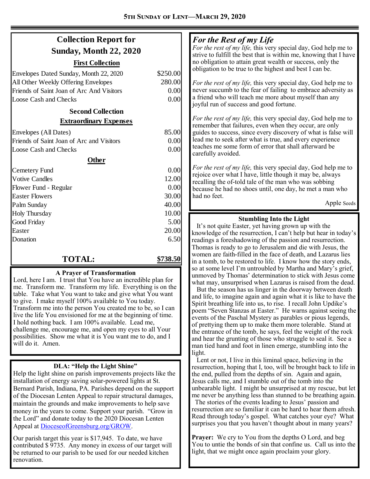| <b>Collection Report for</b>              |          | For the Rest of my Life<br>For the rest of my life, this very special day, God help me to                                      |
|-------------------------------------------|----------|--------------------------------------------------------------------------------------------------------------------------------|
| <b>Sunday, Month 22, 2020</b>             |          | strive to fulfill the best that is within me, knowing that I have                                                              |
| <b>First Collection</b>                   |          | no obligation to attain great wealth or success, only the                                                                      |
| Envelopes Dated Sunday, Month 22, 2020    | \$250.00 | obligation to be true to the highest and best I can be.                                                                        |
| All Other Weekly Offering Envelopes       | 280.00   | For the rest of my life, this very special day, God help me to                                                                 |
| Friends of Saint Joan of Arc And Visitors | 0.00     | never succumb to the fear of failing to embrace adversity as                                                                   |
| <b>Loose Cash and Checks</b>              | 0.00     | a friend who will teach me more about myself than any                                                                          |
| <b>Second Collection</b>                  |          | joyful run of success and good fortune.                                                                                        |
| <b>Extraordinary Expenses</b>             |          | For the rest of my life, this very special day, God help me to<br>remember that failures, even when they occur, are only       |
| Envelopes (All Dates)                     | 85.00    | guides to success, since every discovery of what is false will                                                                 |
| Friends of Saint Joan of Arc and Visitors | 0.00     | lead me to seek after what is true, and every experience                                                                       |
| <b>Loose Cash and Checks</b>              | 0.00     | teaches me some form of error that shall afterward be<br>carefully avoided.                                                    |
| <b>Other</b>                              |          |                                                                                                                                |
| Cemetery Fund                             | 0.00     | For the rest of my life, this very special day, God help me to                                                                 |
| <b>Votive Candles</b>                     | 12.00    | rejoice over what I have, little though it may be, always<br>recalling the of-told tale of the man who was sobbing             |
| Flower Fund - Regular                     | 0.00     | because he had no shoes until, one day, he met a man who                                                                       |
| <b>Easter Flowers</b>                     | 30.00    | had no feet.                                                                                                                   |
| Palm Sunday                               | 40.00    | Apple Seeds                                                                                                                    |
| Holy Thursday                             | 10.00    |                                                                                                                                |
| Good Friday                               | 5.00     | <b>Stumbling Into the Light</b><br>It's not quite Easter, yet having grown up with the                                         |
| Easter                                    | 20.00    | knowledge of the resurrection, I can't help but hear in today's                                                                |
| Donation                                  | 6.50     | readings a foreshadowing of the passion and resurrection.                                                                      |
|                                           |          | Thomas is ready to go to Jerusalem and die with Jesus, the                                                                     |
| <b>TOTAL:</b>                             | \$738.50 | women are faith-filled in the face of death, and Lazarus lies<br>in a tomb, to be restored to life. I know how the story ends, |
|                                           |          | so at some level I'm untroubled by Martha and Mary's grief,                                                                    |

#### **A Prayer of Transformation**

Lord, here I am. I trust that You have an incredible plan for me. Transform me. Transform my life. Everything is on the table. Take what You want to take and give what You want to give. I make myself 100% available to You today. Transform me into the person You created me to be, so I can live the life You envisioned for me at the beginning of time. I hold nothing back. I am 100% available. Lead me, challenge me, encourage me, and open my eyes to all Your possibilities. Show me what it is You want me to do, and I will do it. Amen.

#### **DLA: "Help the Light Shine"**

Help the light shine on parish improvements projects like the installation of energy saving solar-powered lights at St. Bernard Parish, Indiana, PA. Parishes depend on the support of the Diocesan Lenten Appeal to repair structural damages, maintain the grounds and make improvements to help save money in the years to come. Support your parish. "Grow in the Lord" and donate today to the 2020 Diocesan Lenten Appeal at [DioceseofGreensburg.org/GROW.](http://www.dioceseofgreensburg.org/GROW) 

Our parish target this year is \$17,945. To date, we have contributed \$ 9735. Any money in excess of our target will be returned to our parish to be used for our needed kitchen renovation.

what may, unsurprised when Lazarus is raised from the dead. But the season has us linger in the doorway between death and life, to imagine again and again what it is like to have the Spirit breathing life into us, to rise. I recall John Updike's poem "Seven Stanzas at Easter." He warns against seeing the events of the Paschal Mystery as parables or pious legends, of prettying them up to make them more tolerable. Stand at the entrance of the tomb, he says, feel the weight of the rock and hear the grunting of those who struggle to seal it. See a man tied hand and foot in linen emerge, stumbling into the light.

unmoved by Thomas' determination to stick with Jesus come

 Lent or not, I live in this liminal space, believing in the resurrection, hoping that I, too, will be brought back to life in the end, pulled from the depths of sin. Again and again, Jesus calls me, and I stumble out of the tomb into the unbearable light. I might be unsurprised at my rescue, but let me never be anything less than stunned to be breathing again.

 The stories of the events leading to Jesus' passion and resurrection are so familiar it can be hard to hear them afresh. Read through today's gospel. What catches your eye? What surprises you that you haven't thought about in many years?

**Prayer:** We cry to You from the depths O Lord, and beg You to untie the bonds of sin that confine us. Call us into the light, that we might once again proclaim your glory.